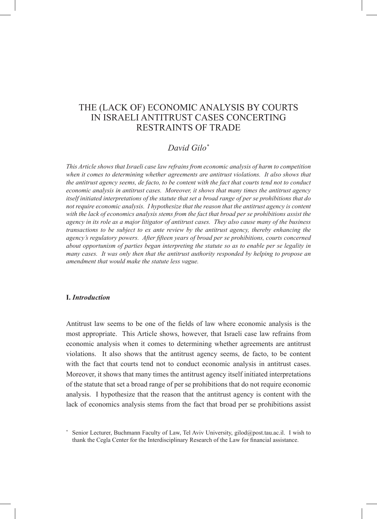# THE (LACK OF) ECONOMIC ANALYSIS BY COURTS IN ISRAELI ANTITRUST CASES CONCERTING RESTRAINTS OF TRADE

## *David Gilo\**

*This Article shows that Israeli case law refrains from economic analysis of harm to competition when it comes to determining whether agreements are antitrust violations. It also shows that the antitrust agency seems, de facto, to be content with the fact that courts tend not to conduct economic analysis in antitrust cases. Moreover, it shows that many times the antitrust agency itself initiated interpretations of the statute that set a broad range of per se prohibitions that do not require economic analysis. I hypothesize that the reason that the antitrust agency is content with the lack of economics analysis stems from the fact that broad per se prohibitions assist the agency in its role as a major litigator of antitrust cases. They also cause many of the business transactions to be subject to ex ante review by the antitrust agency, thereby enhancing the agency's regulatory powers. After fifteen years of broad per se prohibitions, courts concerned about opportunism of parties began interpreting the statute so as to enable per se legality in many cases. It was only then that the antitrust authority responded by helping to propose an amendment that would make the statute less vague.*

### **I.** *Introduction*

Antitrust law seems to be one of the fields of law where economic analysis is the most appropriate. This Article shows, however, that Israeli case law refrains from economic analysis when it comes to determining whether agreements are antitrust violations. It also shows that the antitrust agency seems, de facto, to be content with the fact that courts tend not to conduct economic analysis in antitrust cases. Moreover, it shows that many times the antitrust agency itself initiated interpretations of the statute that set a broad range of per se prohibitions that do not require economic analysis. I hypothesize that the reason that the antitrust agency is content with the lack of economics analysis stems from the fact that broad per se prohibitions assist

<sup>\*</sup> Senior Lecturer, Buchmann Faculty of Law, Tel Aviv University, gilod@post.tau.ac.il. I wish to thank the Cegla Center for the Interdisciplinary Research of the Law for financial assistance.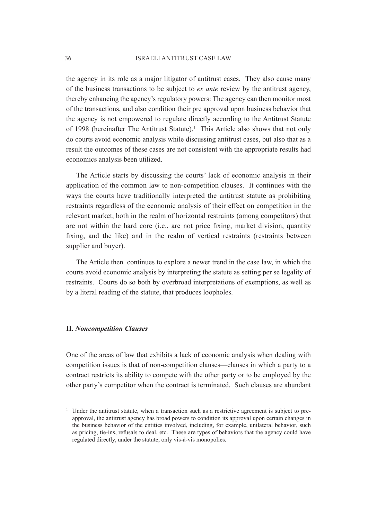the agency in its role as a major litigator of antitrust cases. They also cause many of the business transactions to be subject to *ex ante* review by the antitrust agency, thereby enhancing the agency's regulatory powers: The agency can then monitor most of the transactions, and also condition their pre approval upon business behavior that the agency is not empowered to regulate directly according to the Antitrust Statute of 1998 (hereinafter The Antitrust Statute).<sup>1</sup> This Article also shows that not only do courts avoid economic analysis while discussing antitrust cases, but also that as a result the outcomes of these cases are not consistent with the appropriate results had economics analysis been utilized.

The Article starts by discussing the courts' lack of economic analysis in their application of the common law to non-competition clauses. It continues with the ways the courts have traditionally interpreted the antitrust statute as prohibiting restraints regardless of the economic analysis of their effect on competition in the relevant market, both in the realm of horizontal restraints (among competitors) that are not within the hard core (i.e., are not price fixing, market division, quantity fixing, and the like) and in the realm of vertical restraints (restraints between supplier and buyer).

The Article then continues to explore a newer trend in the case law, in which the courts avoid economic analysis by interpreting the statute as setting per se legality of restraints. Courts do so both by overbroad interpretations of exemptions, as well as by a literal reading of the statute, that produces loopholes.

### **II.** *Noncompetition Clauses*

One of the areas of law that exhibits a lack of economic analysis when dealing with competition issues is that of non-competition clauses—clauses in which a party to a contract restricts its ability to compete with the other party or to be employed by the other party's competitor when the contract is terminated. Such clauses are abundant

<sup>&</sup>lt;sup>1</sup> Under the antitrust statute, when a transaction such as a restrictive agreement is subject to preapproval, the antitrust agency has broad powers to condition its approval upon certain changes in the business behavior of the entities involved, including, for example, unilateral behavior, such as pricing, tie-ins, refusals to deal, etc. These are types of behaviors that the agency could have regulated directly, under the statute, only vis-à-vis monopolies.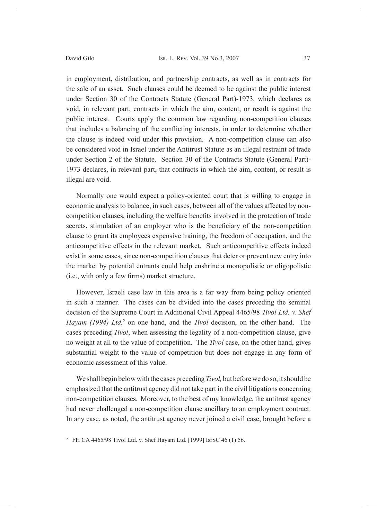in employment, distribution, and partnership contracts, as well as in contracts for the sale of an asset. Such clauses could be deemed to be against the public interest under Section 30 of the Contracts Statute (General Part)-1973, which declares as void, in relevant part, contracts in which the aim, content, or result is against the public interest. Courts apply the common law regarding non-competition clauses that includes a balancing of the conflicting interests, in order to determine whether the clause is indeed void under this provision. A non-competition clause can also be considered void in Israel under the Antitrust Statute as an illegal restraint of trade under Section 2 of the Statute. Section 30 of the Contracts Statute (General Part)- 1973 declares, in relevant part, that contracts in which the aim, content, or result is illegal are void.

Normally one would expect a policy-oriented court that is willing to engage in economic analysis to balance, in such cases, between all of the values affected by noncompetition clauses, including the welfare benefits involved in the protection of trade secrets, stimulation of an employer who is the beneficiary of the non-competition clause to grant its employees expensive training, the freedom of occupation, and the anticompetitive effects in the relevant market. Such anticompetitive effects indeed exist in some cases, since non-competition clauses that deter or prevent new entry into the market by potential entrants could help enshrine a monopolistic or oligopolistic (i.e., with only a few firms) market structure.

However, Israeli case law in this area is a far way from being policy oriented in such a manner. The cases can be divided into the cases preceding the seminal decision of the Supreme Court in Additional Civil Appeal 4465/98 *Tivol Ltd. v. Shef*  Hayam (1994) Ltd,<sup>2</sup> on one hand, and the *Tivol* decision, on the other hand. The cases preceding *Tivol*, when assessing the legality of a non-competition clause, give no weight at all to the value of competition. The *Tivol* case, on the other hand, gives substantial weight to the value of competition but does not engage in any form of economic assessment of this value.

We shall begin below with the cases preceding *Tivol,* but before we do so, it should be emphasized that the antitrust agency did not take part in the civil litigations concerning non-competition clauses. Moreover, to the best of my knowledge, the antitrust agency had never challenged a non-competition clause ancillary to an employment contract. In any case, as noted, the antitrust agency never joined a civil case, brought before a

2 FH CA 4465/98 Tivol Ltd. v. Shef Hayam Ltd. [1999] IsrSC 46 (1) 56.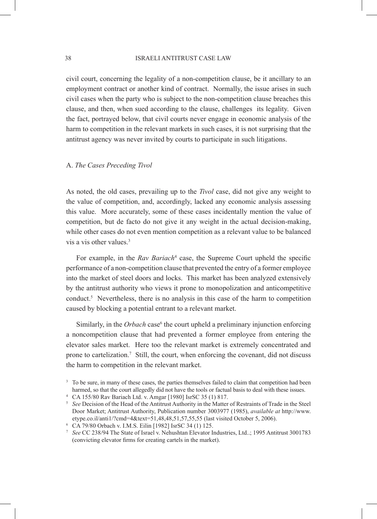civil court, concerning the legality of a non-competition clause, be it ancillary to an employment contract or another kind of contract. Normally, the issue arises in such civil cases when the party who is subject to the non-competition clause breaches this clause, and then, when sued according to the clause, challenges its legality. Given the fact, portrayed below, that civil courts never engage in economic analysis of the harm to competition in the relevant markets in such cases, it is not surprising that the antitrust agency was never invited by courts to participate in such litigations.

### A. *The Cases Preceding Tivol*

As noted, the old cases, prevailing up to the *Tivol* case, did not give any weight to the value of competition, and, accordingly, lacked any economic analysis assessing this value. More accurately, some of these cases incidentally mention the value of competition, but de facto do not give it any weight in the actual decision-making, while other cases do not even mention competition as a relevant value to be balanced vis a vis other values.3

For example, in the *Rav Bariach*<sup>4</sup> case, the Supreme Court upheld the specific performance of a non-competition clause that prevented the entry of a former employee into the market of steel doors and locks. This market has been analyzed extensively by the antitrust authority who views it prone to monopolization and anticompetitive conduct.5 Nevertheless, there is no analysis in this case of the harm to competition caused by blocking a potential entrant to a relevant market.

Similarly, in the *Orbach* case<sup>6</sup> the court upheld a preliminary injunction enforcing a noncompetition clause that had prevented a former employee from entering the elevator sales market. Here too the relevant market is extremely concentrated and prone to cartelization.<sup>7</sup> Still, the court, when enforcing the covenant, did not discuss the harm to competition in the relevant market.

- 4 CA 155/80 Rav Bariach Ltd. v. Amgar [1980] IsrSC 35 (1) 817.
- <sup>5</sup> See Decision of the Head of the Antitrust Authority in the Matter of Restraints of Trade in the Steel Door Market; Antitrust Authority, Publication number 3003977 (1985), *available at* http://www. etype.co.il/anti1/?cmd=4&text=51,48,48,51,57,55,55 (last visited October 5, 2006).
- 6 CA 79/80 Orbach v. I.M.S. Eilin [1982] IsrSC 34 (1) 125.
- 7 *See* CC 238/94 The State of Israel v. Nehushtan Elevator Industries, Ltd..; 1995 Antitrust 3001783 (convicting elevator firms for creating cartels in the market).

<sup>&</sup>lt;sup>3</sup> To be sure, in many of these cases, the parties themselves failed to claim that competition had been harmed, so that the court allegedly did not have the tools or factual basis to deal with these issues.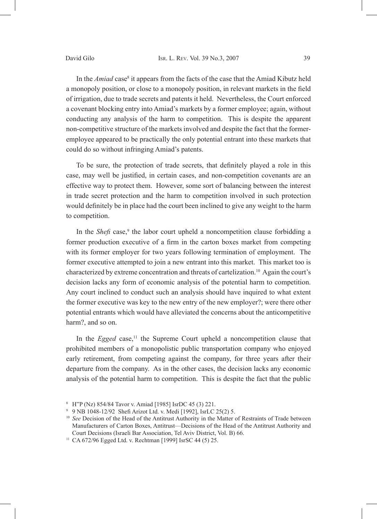In the *Amiad* case<sup>8</sup> it appears from the facts of the case that the Amiad Kibutz held a monopoly position, or close to a monopoly position, in relevant markets in the field of irrigation, due to trade secrets and patents it held. Nevertheless, the Court enforced a covenant blocking entry into Amiad's markets by a former employee; again, without conducting any analysis of the harm to competition. This is despite the apparent non-competitive structure of the markets involved and despite the fact that the formeremployee appeared to be practically the only potential entrant into these markets that could do so without infringing Amiad's patents.

To be sure, the protection of trade secrets, that definitely played a role in this case, may well be justified, in certain cases, and non-competition covenants are an effective way to protect them. However, some sort of balancing between the interest in trade secret protection and the harm to competition involved in such protection would definitely be in place had the court been inclined to give any weight to the harm to competition.

In the *Shefi* case,<sup>9</sup> the labor court upheld a noncompetition clause forbidding a former production executive of a firm in the carton boxes market from competing with its former employer for two years following termination of employment. The former executive attempted to join a new entrant into this market. This market too is characterized by extreme concentration and threats of cartelization.<sup>10</sup> Again the court's decision lacks any form of economic analysis of the potential harm to competition. Any court inclined to conduct such an analysis should have inquired to what extent the former executive was key to the new entry of the new employer?; were there other potential entrants which would have alleviated the concerns about the anticompetitive harm?, and so on.

In the *Egged* case,<sup>11</sup> the Supreme Court upheld a noncompetition clause that prohibited members of a monopolistic public transportation company who enjoyed early retirement, from competing against the company, for three years after their departure from the company. As in the other cases, the decision lacks any economic analysis of the potential harm to competition. This is despite the fact that the public

<sup>8</sup> H"P (Nz) 854/84 Tavor v. Amiad [1985] IsrDC 45 (3) 221.

<sup>9</sup> 9 NB 1048-12/92 Shefi Arizot Ltd. v. Medi [1992], IsrLC 25(2) 5.

<sup>&</sup>lt;sup>10</sup> *See* Decision of the Head of the Antitrust Authority in the Matter of Restraints of Trade between Manufacturers of Carton Boxes, Antitrust—Decisions of the Head of the Antitrust Authority and Court Decisions (Israeli Bar Association, Tel Aviv District, Vol. B) 66.

<sup>11</sup> CA 672/96 Egged Ltd. v. Rechtman [1999] IsrSC 44 (5) 25.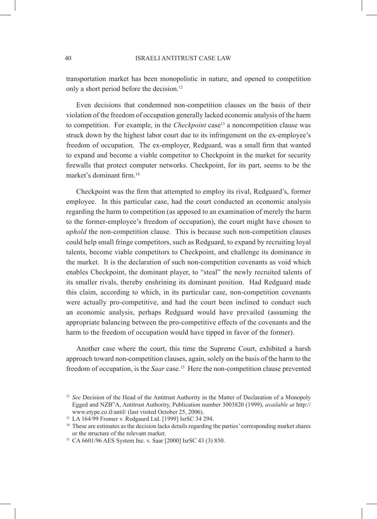transportation market has been monopolistic in nature, and opened to competition only a short period before the decision.12

Even decisions that condemned non-competition clauses on the basis of their violation of the freedom of occupation generally lacked economic analysis of the harm to competition. For example, in the *Checkpoint* case<sup>13</sup> a noncompetition clause was struck down by the highest labor court due to its infringement on the ex-employee's freedom of occupation. The ex-employer, Redguard, was a small firm that wanted to expand and become a viable competitor to Checkpoint in the market for security firewalls that protect computer networks. Checkpoint, for its part, seems to be the market's dominant firm 14

Checkpoint was the firm that attempted to employ its rival, Redguard's, former employee. In this particular case, had the court conducted an economic analysis regarding the harm to competition (as apposed to an examination of merely the harm to the former-employee's freedom of occupation), the court might have chosen to *uphold* the non-competition clause. This is because such non-competition clauses could help small fringe competitors, such as Redguard, to expand by recruiting loyal talents, become viable competitors to Checkpoint, and challenge its dominance in the market. It is the declaration of such non-competition covenants as void which enables Checkpoint, the dominant player, to "steal" the newly recruited talents of its smaller rivals, thereby enshrining its dominant position. Had Redguard made this claim, according to which, in its particular case, non-competition covenants were actually pro-competitive, and had the court been inclined to conduct such an economic analysis, perhaps Redguard would have prevailed (assuming the appropriate balancing between the pro-competitive effects of the covenants and the harm to the freedom of occupation would have tipped in favor of the former).

Another case where the court, this time the Supreme Court, exhibited a harsh approach toward non-competition clauses, again, solely on the basis of the harm to the freedom of occupation, is the *Saar* case.15 Here the non-competition clause prevented

<sup>&</sup>lt;sup>12</sup> *See* Decision of the Head of the Antitrust Authority in the Matter of Declaration of a Monopoly Egged and NZB"A, Antitrust Authority, Publication number 3003820 (1999), *available at* http:// www.etype.co.il/antil/ (last visited October 25, 2006).

<sup>13</sup> LA 164/99 Fromer v. Redgaurd Ltd. [1999] IsrSC 34 294.

<sup>&</sup>lt;sup>14</sup> These are estimates as the decision lacks details regarding the parties' corresponding market shares or the structure of the relevant market.

<sup>15</sup> CA 6601/96 AES System Inc. v. Saar [2000] IsrSC 43 (3) 850.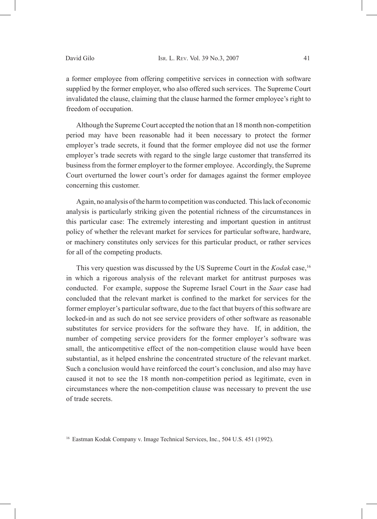a former employee from offering competitive services in connection with software supplied by the former employer, who also offered such services. The Supreme Court invalidated the clause, claiming that the clause harmed the former employee's right to freedom of occupation.

Although the Supreme Court accepted the notion that an 18 month non-competition period may have been reasonable had it been necessary to protect the former employer's trade secrets, it found that the former employee did not use the former employer's trade secrets with regard to the single large customer that transferred its business from the former employer to the former employee. Accordingly, the Supreme Court overturned the lower court's order for damages against the former employee concerning this customer.

Again, no analysis of the harm to competition was conducted. This lack of economic analysis is particularly striking given the potential richness of the circumstances in this particular case: The extremely interesting and important question in antitrust policy of whether the relevant market for services for particular software, hardware, or machinery constitutes only services for this particular product, or rather services for all of the competing products.

This very question was discussed by the US Supreme Court in the *Kodak* case,<sup>16</sup> in which a rigorous analysis of the relevant market for antitrust purposes was conducted. For example, suppose the Supreme Israel Court in the *Saar* case had concluded that the relevant market is confined to the market for services for the former employer's particular software, due to the fact that buyers of this software are locked-in and as such do not see service providers of other software as reasonable substitutes for service providers for the software they have. If, in addition, the number of competing service providers for the former employer's software was small, the anticompetitive effect of the non-competition clause would have been substantial, as it helped enshrine the concentrated structure of the relevant market. Such a conclusion would have reinforced the court's conclusion, and also may have caused it not to see the 18 month non-competition period as legitimate, even in circumstances where the non-competition clause was necessary to prevent the use of trade secrets.

<sup>16</sup> Eastman Kodak Company v. Image Technical Services, Inc., 504 U.S. 451 (1992).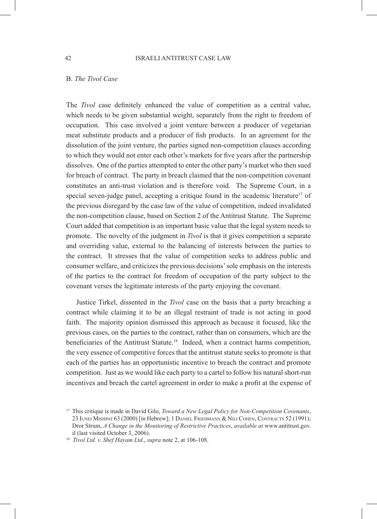### B. *The Tivol Case*

The *Tivol* case definitely enhanced the value of competition as a central value, which needs to be given substantial weight, separately from the right to freedom of occupation. This case involved a joint venture between a producer of vegetarian meat substitute products and a producer of fish products. In an agreement for the dissolution of the joint venture, the parties signed non-competition clauses according to which they would not enter each other's markets for five years after the partnership dissolves. One of the parties attempted to enter the other party's market who then sued for breach of contract. The party in breach claimed that the non-competition covenant constitutes an anti-trust violation and is therefore void. The Supreme Court, in a special seven-judge panel, accepting a critique found in the academic literature<sup>17</sup> of the previous disregard by the case law of the value of competition, indeed invalidated the non-competition clause, based on Section 2 of the Antitrust Statute. The Supreme Court added that competition is an important basic value that the legal system needs to promote. The novelty of the judgment in *Tivol* is that it gives competition a separate and overriding value, external to the balancing of interests between the parties to the contract. It stresses that the value of competition seeks to address public and consumer welfare, and criticizes the previous decisions' sole emphasis on the interests of the parties to the contract for freedom of occupation of the party subject to the covenant verses the legitimate interests of the party enjoying the covenant.

Justice Tirkel, dissented in the *Tivol* case on the basis that a party breaching a contract while claiming it to be an illegal restraint of trade is not acting in good faith. The majority opinion dismissed this approach as because it focused, like the previous cases, on the parties to the contract, rather than on consumers, which are the beneficiaries of the Antitrust Statute.<sup>18</sup> Indeed, when a contract harms competition, the very essence of competitive forces that the antitrust statute seeks to promote is that each of the parties has an opportunistic incentive to breach the contract and promote competition. Just as we would like each party to a cartel to follow his natural short-run incentives and breach the cartel agreement in order to make a profit at the expense of

<sup>17</sup> This critique is made in David Gilo, *Toward a New Legal Policy for Non-Competition Covenants*, 23 IUNEI MISHPAT 63 (2000) [in Hebrew]; 1 DANIEL FRIEDMANN & NILI COHEN, CONTRACTS 52 (1991); Dror Strum, *A Change in the Monitoring of Restrictive Practices*, *available at* www.antitrust.gov. il (last visited October 3, 2006).

<sup>18</sup> *Tivol Ltd. v. Shef Hayam Ltd*., *supra* note 2, at 106-108.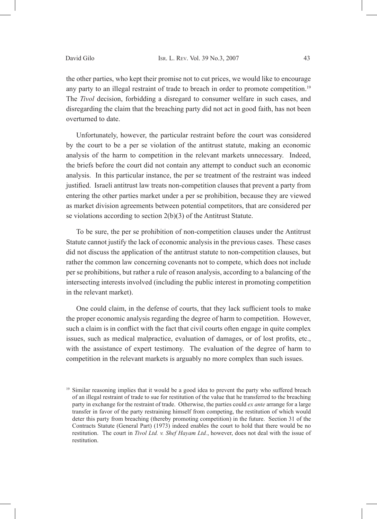the other parties, who kept their promise not to cut prices, we would like to encourage any party to an illegal restraint of trade to breach in order to promote competition.<sup>19</sup> The *Tivol* decision, forbidding a disregard to consumer welfare in such cases, and disregarding the claim that the breaching party did not act in good faith, has not been overturned to date.

Unfortunately, however, the particular restraint before the court was considered by the court to be a per se violation of the antitrust statute, making an economic analysis of the harm to competition in the relevant markets unnecessary. Indeed, the briefs before the court did not contain any attempt to conduct such an economic analysis. In this particular instance, the per se treatment of the restraint was indeed justified. Israeli antitrust law treats non-competition clauses that prevent a party from entering the other parties market under a per se prohibition, because they are viewed as market division agreements between potential competitors, that are considered per se violations according to section 2(b)(3) of the Antitrust Statute.

To be sure, the per se prohibition of non-competition clauses under the Antitrust Statute cannot justify the lack of economic analysis in the previous cases. These cases did not discuss the application of the antitrust statute to non-competition clauses, but rather the common law concerning covenants not to compete, which does not include per se prohibitions, but rather a rule of reason analysis, according to a balancing of the intersecting interests involved (including the public interest in promoting competition in the relevant market).

One could claim, in the defense of courts, that they lack sufficient tools to make the proper economic analysis regarding the degree of harm to competition. However, such a claim is in conflict with the fact that civil courts often engage in quite complex issues, such as medical malpractice, evaluation of damages, or of lost profits, etc., with the assistance of expert testimony. The evaluation of the degree of harm to competition in the relevant markets is arguably no more complex than such issues.

<sup>&</sup>lt;sup>19</sup> Similar reasoning implies that it would be a good idea to prevent the party who suffered breach of an illegal restraint of trade to sue for restitution of the value that he transferred to the breaching party in exchange for the restraint of trade. Otherwise, the parties could *ex ante* arrange for a large transfer in favor of the party restraining himself from competing, the restitution of which would deter this party from breaching (thereby promoting competition) in the future. Section 31 of the Contracts Statute (General Part) (1973) indeed enables the court to hold that there would be no restitution. The court in *Tivol Ltd. v. Shef Hayam Ltd.*, however, does not deal with the issue of restitution.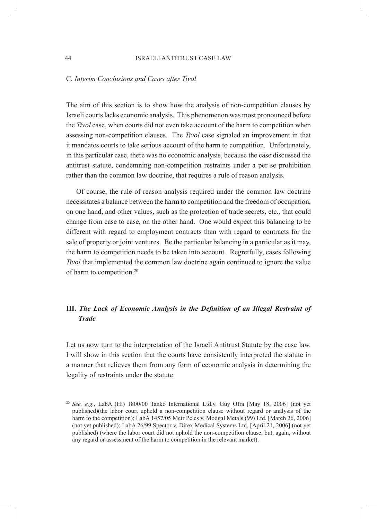### C*. Interim Conclusions and Cases after Tivol*

The aim of this section is to show how the analysis of non-competition clauses by Israeli courts lacks economic analysis. This phenomenon was most pronounced before the *Tivol* case, when courts did not even take account of the harm to competition when assessing non-competition clauses. The *Tivol* case signaled an improvement in that it mandates courts to take serious account of the harm to competition. Unfortunately, in this particular case, there was no economic analysis, because the case discussed the antitrust statute, condemning non-competition restraints under a per se prohibition rather than the common law doctrine, that requires a rule of reason analysis.

Of course, the rule of reason analysis required under the common law doctrine necessitates a balance between the harm to competition and the freedom of occupation, on one hand, and other values, such as the protection of trade secrets, etc., that could change from case to case, on the other hand. One would expect this balancing to be different with regard to employment contracts than with regard to contracts for the sale of property or joint ventures. Be the particular balancing in a particular as it may, the harm to competition needs to be taken into account. Regretfully, cases following *Tivol* that implemented the common law doctrine again continued to ignore the value of harm to competition.20

# **III.** *The Lack of Economic Analysis in the Definition of an Illegal Restraint of Trade*

Let us now turn to the interpretation of the Israeli Antitrust Statute by the case law. I will show in this section that the courts have consistently interpreted the statute in a manner that relieves them from any form of economic analysis in determining the legality of restraints under the statute.

<sup>20</sup> *See, e.g.*, LabA (Hi) 1800/00 Tanko International Ltd.v. Guy Ofra [May 18, 2006] (not yet published)(the labor court upheld a non-competition clause without regard or analysis of the harm to the competition); LabA 1457/05 Meir Peles v. Modgal Metals (99) Ltd, [March 26, 2006] (not yet published); LabA 26/99 Spector v. Direx Medical Systems Ltd. [April 21, 2006] (not yet published) (where the labor court did not uphold the non-competition clause, but, again, without any regard or assessment of the harm to competition in the relevant market).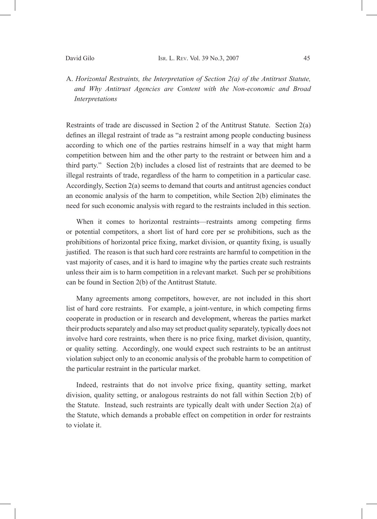A. *Horizontal Restraints, the Interpretation of Section 2(a) of the Antitrust Statute, and Why Antitrust Agencies are Content with the Non-economic and Broad Interpretations*

Restraints of trade are discussed in Section 2 of the Antitrust Statute. Section 2(a) defines an illegal restraint of trade as "a restraint among people conducting business according to which one of the parties restrains himself in a way that might harm competition between him and the other party to the restraint or between him and a third party." Section 2(b) includes a closed list of restraints that are deemed to be illegal restraints of trade, regardless of the harm to competition in a particular case. Accordingly, Section 2(a) seems to demand that courts and antitrust agencies conduct an economic analysis of the harm to competition, while Section 2(b) eliminates the need for such economic analysis with regard to the restraints included in this section.

When it comes to horizontal restraints—restraints among competing firms or potential competitors, a short list of hard core per se prohibitions, such as the prohibitions of horizontal price fixing, market division, or quantity fixing, is usually justified. The reason is that such hard core restraints are harmful to competition in the vast majority of cases, and it is hard to imagine why the parties create such restraints unless their aim is to harm competition in a relevant market. Such per se prohibitions can be found in Section 2(b) of the Antitrust Statute.

Many agreements among competitors, however, are not included in this short list of hard core restraints. For example, a joint-venture, in which competing firms cooperate in production or in research and development, whereas the parties market their products separately and also may set product quality separately, typically does not involve hard core restraints, when there is no price fixing, market division, quantity, or quality setting. Accordingly, one would expect such restraints to be an antitrust violation subject only to an economic analysis of the probable harm to competition of the particular restraint in the particular market.

Indeed, restraints that do not involve price fixing, quantity setting, market division, quality setting, or analogous restraints do not fall within Section 2(b) of the Statute. Instead, such restraints are typically dealt with under Section 2(a) of the Statute, which demands a probable effect on competition in order for restraints to violate it.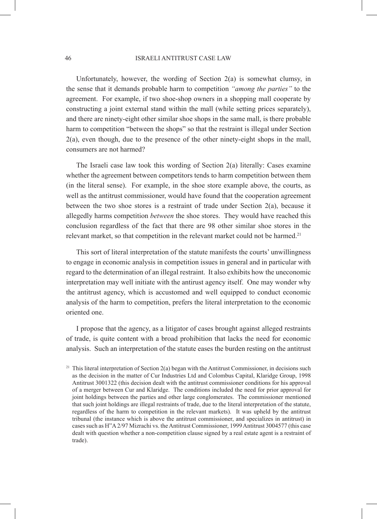Unfortunately, however, the wording of Section 2(a) is somewhat clumsy, in the sense that it demands probable harm to competition *"among the parties"* to the agreement. For example, if two shoe-shop owners in a shopping mall cooperate by constructing a joint external stand within the mall (while setting prices separately), and there are ninety-eight other similar shoe shops in the same mall, is there probable harm to competition "between the shops" so that the restraint is illegal under Section  $2(a)$ , even though, due to the presence of the other ninety-eight shops in the mall, consumers are not harmed?

The Israeli case law took this wording of Section 2(a) literally: Cases examine whether the agreement between competitors tends to harm competition between them (in the literal sense). For example, in the shoe store example above, the courts, as well as the antitrust commissioner, would have found that the cooperation agreement between the two shoe stores is a restraint of trade under Section 2(a), because it allegedly harms competition *between* the shoe stores. They would have reached this conclusion regardless of the fact that there are 98 other similar shoe stores in the relevant market, so that competition in the relevant market could not be harmed.<sup>21</sup>

This sort of literal interpretation of the statute manifests the courts' unwillingness to engage in economic analysis in competition issues in general and in particular with regard to the determination of an illegal restraint. It also exhibits how the uneconomic interpretation may well initiate with the antirust agency itself. One may wonder why the antitrust agency, which is accustomed and well equipped to conduct economic analysis of the harm to competition, prefers the literal interpretation to the economic oriented one.

I propose that the agency, as a litigator of cases brought against alleged restraints of trade, is quite content with a broad prohibition that lacks the need for economic analysis. Such an interpretation of the statute eases the burden resting on the antitrust

 $21$  This literal interpretation of Section 2(a) began with the Antitrust Commissioner, in decisions such as the decision in the matter of Cur Industries Ltd and Colombus Capital, Klaridge Group, 1998 Antitrust 3001322 (this decision dealt with the antitrust commissioner conditions for his approval of a merger between Cur and Klaridge. The conditions included the need for prior approval for joint holdings between the parties and other large conglomerates. The commissioner mentioned that such joint holdings are illegal restraints of trade, due to the literal interpretation of the statute, regardless of the harm to competition in the relevant markets). It was upheld by the antitrust tribunal (the instance which is above the antitrust commissioner, and specializes in antitrust) in cases such as H"A 2/97 Mizrachi vs. the Antitrust Commissioner, 1999 Antitrust 3004577 (this case dealt with question whether a non-competition clause signed by a real estate agent is a restraint of trade).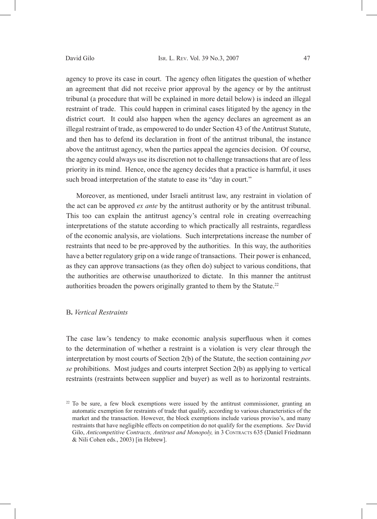agency to prove its case in court. The agency often litigates the question of whether an agreement that did not receive prior approval by the agency or by the antitrust tribunal (a procedure that will be explained in more detail below) is indeed an illegal restraint of trade. This could happen in criminal cases litigated by the agency in the district court. It could also happen when the agency declares an agreement as an illegal restraint of trade, as empowered to do under Section 43 of the Antitrust Statute, and then has to defend its declaration in front of the antitrust tribunal, the instance above the antitrust agency, when the parties appeal the agencies decision. Of course, the agency could always use its discretion not to challenge transactions that are of less priority in its mind. Hence, once the agency decides that a practice is harmful, it uses such broad interpretation of the statute to ease its "day in court."

Moreover, as mentioned, under Israeli antitrust law, any restraint in violation of the act can be approved *ex ante* by the antitrust authority or by the antitrust tribunal. This too can explain the antitrust agency's central role in creating overreaching interpretations of the statute according to which practically all restraints, regardless of the economic analysis, are violations. Such interpretations increase the number of restraints that need to be pre-approved by the authorities. In this way, the authorities have a better regulatory grip on a wide range of transactions. Their power is enhanced, as they can approve transactions (as they often do) subject to various conditions, that the authorities are otherwise unauthorized to dictate. In this manner the antitrust authorities broaden the powers originally granted to them by the Statute.<sup>22</sup>

### B**.** *Vertical Restraints*

The case law's tendency to make economic analysis superfluous when it comes to the determination of whether a restraint is a violation is very clear through the interpretation by most courts of Section 2(b) of the Statute, the section containing *per se* prohibitions. Most judges and courts interpret Section 2(b) as applying to vertical restraints (restraints between supplier and buyer) as well as to horizontal restraints.

 $22$  To be sure, a few block exemptions were issued by the antitrust commissioner, granting an automatic exemption for restraints of trade that qualify, according to various characteristics of the market and the transaction. However, the block exemptions include various proviso's, and many restraints that have negligible effects on competition do not qualify for the exemptions. *See* David Gilo, *Anticompetitive Contracts, Antitrust and Monopoly,* in 3 CONTRACTS 635 (Daniel Friedmann & Nili Cohen eds., 2003) [in Hebrew].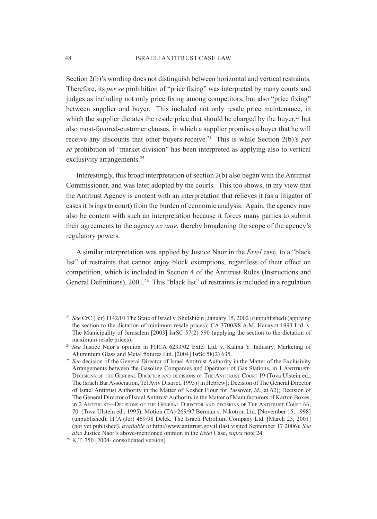Section 2(b)'s wording does not distinguish between horizontal and vertical restraints. Therefore, its *per se* prohibition of "price fixing" was interpreted by many courts and judges as including not only price fixing among competitors, but also "price fixing" between supplier and buyer. This included not only resale price maintenance, in which the supplier dictates the resale price that should be charged by the buyer, $23$  but also most-favored-customer clauses, in which a supplier promises a buyer that he will receive any discounts that other buyers receive.24 This is while Section 2(b)'s *per se* prohibition of "market division" has been interpreted as applying also to vertical exclusivity arrangements.<sup>25</sup>

Interestingly, this broad interpretation of section 2(b) also began with the Antitrust Commissioner, and was later adopted by the courts. This too shows, in my view that the Antitrust Agency is content with an interpretation that relieves it (as a litigator of cases it brings to court) from the burden of economic analysis. Again, the agency may also be content with such an interpretation because it forces many parties to submit their agreements to the agency *ex ante*, thereby broadening the scope of the agency's regulatory powers.

A similar interpretation was applied by Justice Naor in the *Extel* case, to a "black list" of restraints that cannot enjoy block exemptions, regardless of their effect on competition, which is included in Section 4 of the Antitrust Rules (Instructions and General Definitions), 2001.<sup>26</sup> This "black list" of restraints is included in a regulation

<sup>23</sup> *See* CrC (Jer) 1142/01 The State of Israel v. Shulshtein [January 15, 2002] (unpublished) (applying the section to the dictation of minimum resale prices); CA 3700/98 A.M. Hanayot 1993 Ltd. v. The Municipality of Jerusalem [2003] IsrSC 57(2) 590 (applying the section to the dictation of maximum resale prices).

<sup>24</sup> *See* Justice Naor's opinion in FHCA 6233/02 Extel Ltd. v. Kalma Y. Industry, Marketing of Aluminium Glass and Metal fixtures Ltd. [2004] IsrSc 58(2) 635.

<sup>&</sup>lt;sup>25</sup> See decision of the General Director of Israel Antitrust Authority in the Matter of the Exclusivity Arrangements between the Gasoline Companies and Operators of Gas Stations, in 1 ANTITRUST-DECISIONS OF THE GENERAL DIRECTOR AND DECISIONS OF THE ANTITRUST COURT 19 (Tova Ulstein ed., The Israeli Bar Association, Tel Aviv District, 1995) [in Hebrew]; Decision of The General Director of Israel Antitrust Authority in the Matter of Kosher Flour for Passover, *id*., at 62); Decision of The General Director of Israel Antitrust Authority in the Matter of Manufacturers of Karton Boxes, in 2 ANTITRUST—DECISIONS OF THE GENERAL DIRECTOR AND DECISIONS OF THE ANTITRUST COURT 66, 70 (Tova Ulstein ed., 1995); Motion (TA) 269/97 Berman v. Nikotron Ltd. [November 15, 1998] (unpublished); H"A (Jer) 469/98 Delek, The Israeli Petrolium Company Ltd. [March 25, 2001] (not yet published). *available at* http://www.antitrust.gov.il (last visited September 17 2006); *See also* Justice Naor's above-mentioned opinion in the *Extel* Case, *supra* note 24.

<sup>26</sup> K.T. 750 [2004- consolidated version].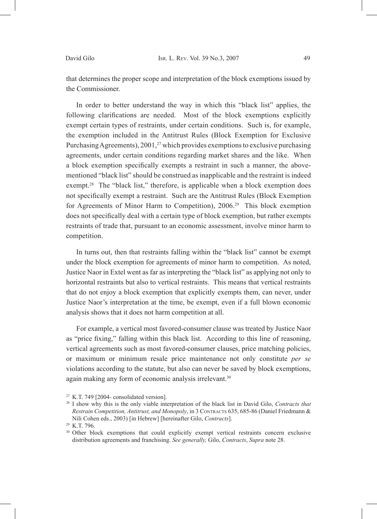that determines the proper scope and interpretation of the block exemptions issued by the Commissioner.

In order to better understand the way in which this "black list" applies, the following clarifications are needed. Most of the block exemptions explicitly exempt certain types of restraints, under certain conditions. Such is, for example, the exemption included in the Antitrust Rules (Block Exemption for Exclusive Purchasing Agreements),  $2001<sup>27</sup>$  which provides exemptions to exclusive purchasing agreements, under certain conditions regarding market shares and the like. When a block exemption specifically exempts a restraint in such a manner, the abovementioned "black list" should be construed as inapplicable and the restraint is indeed exempt.<sup>28</sup> The "black list," therefore, is applicable when a block exemption does not specifically exempt a restraint. Such are the Antitrust Rules (Block Exemption for Agreements of Minor Harm to Competition), 2006.<sup>29</sup> This block exemption does not specifically deal with a certain type of block exemption, but rather exempts restraints of trade that, pursuant to an economic assessment, involve minor harm to competition.

In turns out, then that restraints falling within the "black list" cannot be exempt under the block exemption for agreements of minor harm to competition. As noted, Justice Naor in Extel went as far as interpreting the "black list" as applying not only to horizontal restraints but also to vertical restraints. This means that vertical restraints that do not enjoy a block exemption that explicitly exempts them, can never, under Justice Naor's interpretation at the time, be exempt, even if a full blown economic analysis shows that it does not harm competition at all.

For example, a vertical most favored-consumer clause was treated by Justice Naor as "price fixing," falling within this black list. According to this line of reasoning, vertical agreements such as most favored-consumer clauses, price matching policies, or maximum or minimum resale price maintenance not only constitute *per se* violations according to the statute, but also can never be saved by block exemptions, again making any form of economic analysis irrelevant.<sup>30</sup>

<sup>27</sup> K.T. 749 [2004- consolidated version].

<sup>28</sup> I show why this is the only viable interpretation of the black list in David Gilo, *Contracts that Restrain Competition, Antitrust, and Monopoly*, in 3 CONTRACTS 635, 685-86 (Daniel Friedmann & Nili Cohen eds., 2003) [in Hebrew] [hereinafter Gilo, *Contracts*].

<sup>29</sup> K.T. 796.

<sup>&</sup>lt;sup>30</sup> Other block exemptions that could explicitly exempt vertical restraints concern exclusive distribution agreements and franchising. *See generally,* Gilo, *Contracts*, *Supra* note 28.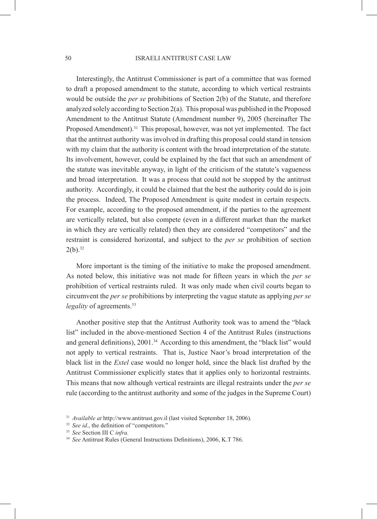Interestingly, the Antitrust Commissioner is part of a committee that was formed to draft a proposed amendment to the statute, according to which vertical restraints would be outside the *per se* prohibitions of Section 2(b) of the Statute, and therefore analyzed solely according to Section 2(a). This proposal was published in the Proposed Amendment to the Antitrust Statute (Amendment number 9), 2005 (hereinafter The Proposed Amendment).<sup>31</sup> This proposal, however, was not yet implemented. The fact that the antitrust authority was involved in drafting this proposal could stand in tension with my claim that the authority is content with the broad interpretation of the statute. Its involvement, however, could be explained by the fact that such an amendment of the statute was inevitable anyway, in light of the criticism of the statute's vagueness and broad interpretation. It was a process that could not be stopped by the antitrust authority. Accordingly, it could be claimed that the best the authority could do is join the process. Indeed, The Proposed Amendment is quite modest in certain respects. For example, according to the proposed amendment, if the parties to the agreement are vertically related, but also compete (even in a different market than the market in which they are vertically related) then they are considered "competitors" and the restraint is considered horizontal, and subject to the *per se* prohibition of section  $2(b).^{32}$ 

More important is the timing of the initiative to make the proposed amendment. As noted below, this initiative was not made for fifteen years in which the *per se* prohibition of vertical restraints ruled. It was only made when civil courts began to circumvent the *per se* prohibitions by interpreting the vague statute as applying *per se legality* of agreements.<sup>33</sup>

Another positive step that the Antitrust Authority took was to amend the "black list" included in the above-mentioned Section 4 of the Antitrust Rules (instructions and general definitions), 2001.34 According to this amendment, the "black list" would not apply to vertical restraints. That is, Justice Naor's broad interpretation of the black list in the *Extel* case would no longer hold, since the black list drafted by the Antitrust Commissioner explicitly states that it applies only to horizontal restraints. This means that now although vertical restraints are illegal restraints under the *per se* rule (according to the antitrust authority and some of the judges in the Supreme Court)

<sup>31</sup> *Available at* http://www.antitrust.gov.il (last visited September 18, 2006).

<sup>&</sup>lt;sup>32</sup> *See id.*, the definition of "competitors."

<sup>33</sup> *See* Section III C *infra.*

<sup>34</sup> *See* Antitrust Rules (General Instructions Definitions), 2006, K.T 786.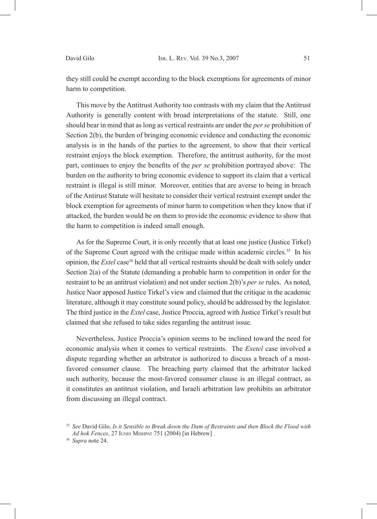they still could be exempt according to the block exemptions for agreements of minor harm to competition.

This move by the Antitrust Authority too contrasts with my claim that the Antitrust Authority is generally content with broad interpretations of the statute. Still, one should bear in mind that as long as vertical restraints are under the *per se* prohibition of Section 2(b), the burden of bringing economic evidence and conducting the economic analysis is in the hands of the parties to the agreement, to show that their vertical restraint enjoys the block exemption. Therefore, the antitrust authority, for the most part, continues to enjoy the benefits of the *per se* prohibition portrayed above: The burden on the authority to bring economic evidence to support its claim that a vertical restraint is illegal is still minor. Moreover, entities that are averse to being in breach of the Antirust Statute will hesitate to consider their vertical restraint exempt under the block exemption for agreements of minor harm to competition when they know that if attacked, the burden would be on them to provide the economic evidence to show that the harm to competition is indeed small enough.

As for the Supreme Court, it is only recently that at least one justice (Justice Tirkel) of the Supreme Court agreed with the critique made within academic circles.35 In his opinion, the *Extel* case36 held that all vertical restraints should be dealt with solely under Section 2(a) of the Statute (demanding a probable harm to competition in order for the restraint to be an antitrust violation) and not under section 2(b)'s *per se* rules. As noted, Justice Naor apposed Justice Tirkel's view and claimed that the critique in the academic literature, although it may constitute sound policy, should be addressed by the legislator. The third justice in the *Extel* case, Justice Proccia, agreed with Justice Tirkel's result but claimed that she refused to take sides regarding the antitrust issue.

Nevertheless, Justice Proccia's opinion seems to be inclined toward the need for economic analysis when it comes to vertical restraints. The *Exetel* case involved a dispute regarding whether an arbitrator is authorized to discuss a breach of a mostfavored consumer clause. The breaching party claimed that the arbitrator lacked such authority, because the most-favored consumer clause is an illegal contract, as it constitutes an antitrust violation, and Israeli arbitration law prohibits an arbitrator from discussing an illegal contract.

<sup>35</sup> *See* David Gilo, *Is it Sensible to Break down the Dam of Restraints and then Block the Flood with Ad hok Fences,* 27 IUNEI MISHPAT 751 (2004) [in Hebrew] .

<sup>36</sup> *Supra* note 24.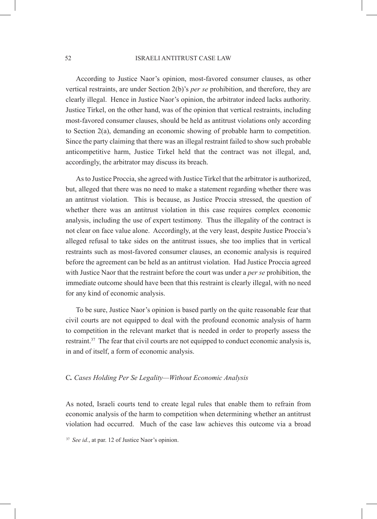According to Justice Naor's opinion, most-favored consumer clauses, as other vertical restraints, are under Section 2(b)'s *per se* prohibition, and therefore, they are clearly illegal. Hence in Justice Naor's opinion, the arbitrator indeed lacks authority. Justice Tirkel, on the other hand, was of the opinion that vertical restraints, including most-favored consumer clauses, should be held as antitrust violations only according to Section 2(a), demanding an economic showing of probable harm to competition. Since the party claiming that there was an illegal restraint failed to show such probable anticompetitive harm, Justice Tirkel held that the contract was not illegal, and, accordingly, the arbitrator may discuss its breach.

As to Justice Proccia, she agreed with Justice Tirkel that the arbitrator is authorized, but, alleged that there was no need to make a statement regarding whether there was an antitrust violation. This is because, as Justice Proccia stressed, the question of whether there was an antitrust violation in this case requires complex economic analysis, including the use of expert testimony. Thus the illegality of the contract is not clear on face value alone. Accordingly, at the very least, despite Justice Proccia's alleged refusal to take sides on the antitrust issues, she too implies that in vertical restraints such as most-favored consumer clauses, an economic analysis is required before the agreement can be held as an antitrust violation. Had Justice Proccia agreed with Justice Naor that the restraint before the court was under a *per se* prohibition, the immediate outcome should have been that this restraint is clearly illegal, with no need for any kind of economic analysis.

To be sure, Justice Naor's opinion is based partly on the quite reasonable fear that civil courts are not equipped to deal with the profound economic analysis of harm to competition in the relevant market that is needed in order to properly assess the restraint.<sup>37</sup> The fear that civil courts are not equipped to conduct economic analysis is, in and of itself, a form of economic analysis.

### C*. Cases Holding Per Se Legality—Without Economic Analysis*

As noted, Israeli courts tend to create legal rules that enable them to refrain from economic analysis of the harm to competition when determining whether an antitrust violation had occurred. Much of the case law achieves this outcome via a broad

<sup>37</sup> *See id.*, at par. 12 of Justice Naor's opinion.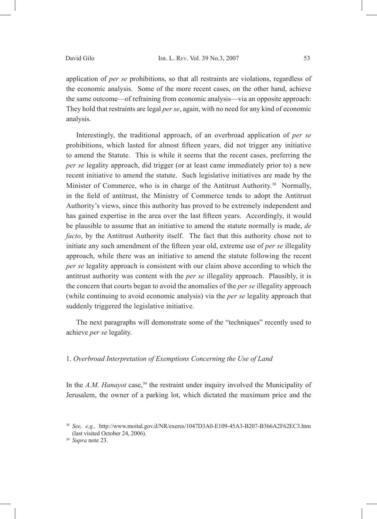application of *per se* prohibitions, so that all restraints are violations, regardless of the economic analysis. Some of the more recent cases, on the other hand, achieve the same outcome—of refraining from economic analysis—via an opposite approach: They hold that restraints are legal *per se*, again, with no need for any kind of economic analysis.

Interestingly, the traditional approach, of an overbroad application of *per se*  prohibitions, which lasted for almost fifteen years, did not trigger any initiative to amend the Statute. This is while it seems that the recent cases, preferring the *per se* legality approach, did trigger (or at least came immediately prior to) a new recent initiative to amend the statute. Such legislative initiatives are made by the Minister of Commerce, who is in charge of the Antitrust Authority.<sup>38</sup> Normally, in the field of antitrust, the Ministry of Commerce tends to adopt the Antitrust Authority's views, since this authority has proved to be extremely independent and has gained expertise in the area over the last fifteen years. Accordingly, it would be plausible to assume that an initiative to amend the statute normally is made, *de facto*, by the Antitrust Authority itself. The fact that this authority chose not to initiate any such amendment of the fifteen year old, extreme use of *per se* illegality approach, while there was an initiative to amend the statute following the recent *per se* legality approach is consistent with our claim above according to which the antitrust authority was content with the *per se* illegality approach. Plausibly, it is the concern that courts began to avoid the anomalies of the *per se* illegality approach (while continuing to avoid economic analysis) via the *per se* legality approach that suddenly triggered the legislative initiative.

The next paragraphs will demonstrate some of the "techniques" recently used to achieve *per se* legality.

### 1. *Overbroad Interpretation of Exemptions Concerning the Use of Land*

In the *A.M. Hanayot* case,<sup>39</sup> the restraint under inquiry involved the Municipality of Jerusalem, the owner of a parking lot, which dictated the maximum price and the

<sup>38</sup> *See, e.g.,* http://www.moital.gov.il/NR/exeres/1047D3A0-E109-45A3-B207-B366A2F62EC3.htm (last visited October 24, 2006).

<sup>39</sup> *Supra* note 23.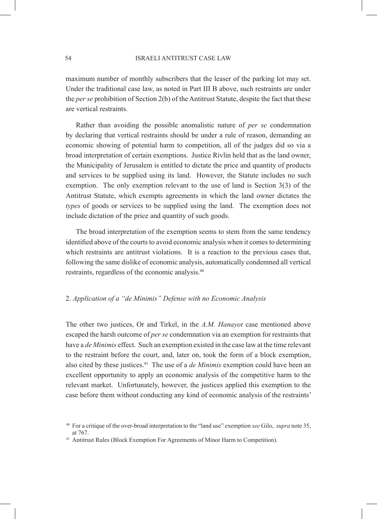maximum number of monthly subscribers that the leaser of the parking lot may set. Under the traditional case law, as noted in Part III B above, such restraints are under the *per se* prohibition of Section 2(b) of the Antitrust Statute, despite the fact that these are vertical restraints.

Rather than avoiding the possible anomalistic nature of *per se* condemnation by declaring that vertical restraints should be under a rule of reason, demanding an economic showing of potential harm to competition, all of the judges did so via a broad interpretation of certain exemptions. Justice Rivlin held that as the land owner, the Municipality of Jerusalem is entitled to dictate the price and quantity of products and services to be supplied using its land. However, the Statute includes no such exemption. The only exemption relevant to the use of land is Section 3(3) of the Antitrust Statute, which exempts agreements in which the land owner dictates the *types* of goods or services to be supplied using the land. The exemption does not include dictation of the price and quantity of such goods.

The broad interpretation of the exemption seems to stem from the same tendency identified above of the courts to avoid economic analysis when it comes to determining which restraints are antitrust violations. It is a reaction to the previous cases that, following the same dislike of economic analysis, automatically condemned all vertical restraints, regardless of the economic analysis.40

### 2. *Application of a "de Minimis" Defense with no Economic Analysis*

The other two justices, Or and Tirkel, in the *A.M. Hanayot* case mentioned above escaped the harsh outcome of *per se* condemnation via an exemption for restraints that have a *de Minimis* effect. Such an exemption existed in the case law at the time relevant to the restraint before the court, and, later on, took the form of a block exemption, also cited by these justices.41 The use of a *de Minimis* exemption could have been an excellent opportunity to apply an economic analysis of the competitive harm to the relevant market. Unfortunately, however, the justices applied this exemption to the case before them without conducting any kind of economic analysis of the restraints'

<sup>40</sup> For a critique of the over-broad interpretation to the "land use" exemption *see* Gilo, *supra* note 35, at 767.

<sup>41</sup> Antitrust Rules (Block Exemption For Agreements of Minor Harm to Competition).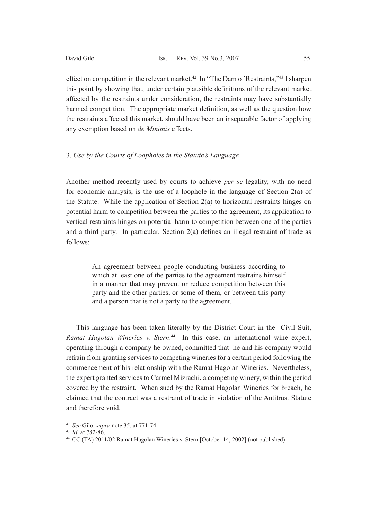effect on competition in the relevant market.<sup>42</sup> In "The Dam of Restraints,"<sup>43</sup> I sharpen this point by showing that, under certain plausible definitions of the relevant market affected by the restraints under consideration, the restraints may have substantially harmed competition. The appropriate market definition, as well as the question how the restraints affected this market, should have been an inseparable factor of applying any exemption based on *de Minimis* effects.

### 3. *Use by the Courts of Loopholes in the Statute's Language*

Another method recently used by courts to achieve *per se* legality, with no need for economic analysis, is the use of a loophole in the language of Section 2(a) of the Statute. While the application of Section 2(a) to horizontal restraints hinges on potential harm to competition between the parties to the agreement, its application to vertical restraints hinges on potential harm to competition between one of the parties and a third party. In particular, Section 2(a) defines an illegal restraint of trade as follows:

> An agreement between people conducting business according to which at least one of the parties to the agreement restrains himself in a manner that may prevent or reduce competition between this party and the other parties, or some of them, or between this party and a person that is not a party to the agreement.

This language has been taken literally by the District Court in the Civil Suit, *Ramat Hagolan Wineries v. Stern*. 44 In this case, an international wine expert, operating through a company he owned, committed that he and his company would refrain from granting services to competing wineries for a certain period following the commencement of his relationship with the Ramat Hagolan Wineries. Nevertheless, the expert granted services to Carmel Mizrachi, a competing winery, within the period covered by the restraint. When sued by the Ramat Hagolan Wineries for breach, he claimed that the contract was a restraint of trade in violation of the Antitrust Statute and therefore void.

<sup>42</sup> *See* Gilo, *supra* note 35, at 771-74.

<sup>43</sup> *Id*. at 782-86.

<sup>44</sup> CC (TA) 2011/02 Ramat Hagolan Wineries v. Stern [October 14, 2002] (not published).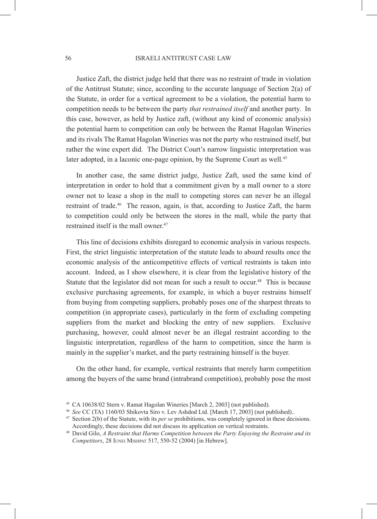Justice Zaft, the district judge held that there was no restraint of trade in violation of the Antitrust Statute; since, according to the accurate language of Section 2(a) of the Statute, in order for a vertical agreement to be a violation, the potential harm to competition needs to be between the party *that restrained itself* and another party. In this case, however, as held by Justice zaft, (without any kind of economic analysis) the potential harm to competition can only be between the Ramat Hagolan Wineries and its rivals The Ramat Hagolan Wineries was not the party who restrained itself, but rather the wine expert did. The District Court's narrow linguistic interpretation was later adopted, in a laconic one-page opinion, by the Supreme Court as well.<sup>45</sup>

In another case, the same district judge, Justice Zaft, used the same kind of interpretation in order to hold that a commitment given by a mall owner to a store owner not to lease a shop in the mall to competing stores can never be an illegal restraint of trade.<sup>46</sup> The reason, again, is that, according to Justice Zaft, the harm to competition could only be between the stores in the mall, while the party that restrained itself is the mall owner.<sup>47</sup>

This line of decisions exhibits disregard to economic analysis in various respects. First, the strict linguistic interpretation of the statute leads to absurd results once the economic analysis of the anticompetitive effects of vertical restraints is taken into account. Indeed, as I show elsewhere, it is clear from the legislative history of the Statute that the legislator did not mean for such a result to occur.<sup>48</sup> This is because exclusive purchasing agreements, for example, in which a buyer restrains himself from buying from competing suppliers, probably poses one of the sharpest threats to competition (in appropriate cases), particularly in the form of excluding competing suppliers from the market and blocking the entry of new suppliers. Exclusive purchasing, however, could almost never be an illegal restraint according to the linguistic interpretation, regardless of the harm to competition, since the harm is mainly in the supplier's market, and the party restraining himself is the buyer.

On the other hand, for example, vertical restraints that merely harm competition among the buyers of the same brand (intrabrand competition), probably pose the most

<sup>45</sup> CA 10638/02 Stern v. Ramat Hagolan Wineries [March 2, 2003] (not published).

<sup>46</sup> *See* CC (TA) 1160/03 Shikovta Siro v. Lev Ashdod Ltd. [March 17, 2003] (not published)..

<sup>47</sup> Section 2(b) of the Statute, with its *per se* prohibitions, was completely ignored in these decisions. Accordingly, these decisions did not discuss its application on vertical restraints.

<sup>48</sup> David Gilo, *A Restraint that Harms Competition between the Party Enjoying the Restraint and its Competitors*, 28 IUNEI MISHPAT 517, 550-52 (2004) [in Hebrew].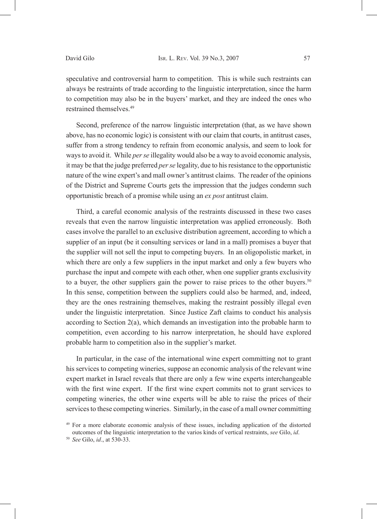speculative and controversial harm to competition. This is while such restraints can always be restraints of trade according to the linguistic interpretation, since the harm to competition may also be in the buyers' market, and they are indeed the ones who restrained themselves.49

Second, preference of the narrow linguistic interpretation (that, as we have shown above, has no economic logic) is consistent with our claim that courts, in antitrust cases, suffer from a strong tendency to refrain from economic analysis, and seem to look for ways to avoid it. While *per se* illegality would also be a way to avoid economic analysis, it may be that the judge preferred *per se* legality, due to his resistance to the opportunistic nature of the wine expert's and mall owner's antitrust claims. The reader of the opinions of the District and Supreme Courts gets the impression that the judges condemn such opportunistic breach of a promise while using an *ex post* antitrust claim.

Third, a careful economic analysis of the restraints discussed in these two cases reveals that even the narrow linguistic interpretation was applied erroneously. Both cases involve the parallel to an exclusive distribution agreement, according to which a supplier of an input (be it consulting services or land in a mall) promises a buyer that the supplier will not sell the input to competing buyers. In an oligopolistic market, in which there are only a few suppliers in the input market and only a few buyers who purchase the input and compete with each other, when one supplier grants exclusivity to a buyer, the other suppliers gain the power to raise prices to the other buyers.<sup>50</sup> In this sense, competition between the suppliers could also be harmed, and, indeed, they are the ones restraining themselves, making the restraint possibly illegal even under the linguistic interpretation. Since Justice Zaft claims to conduct his analysis according to Section 2(a), which demands an investigation into the probable harm to competition, even according to his narrow interpretation, he should have explored probable harm to competition also in the supplier's market.

In particular, in the case of the international wine expert committing not to grant his services to competing wineries, suppose an economic analysis of the relevant wine expert market in Israel reveals that there are only a few wine experts interchangeable with the first wine expert. If the first wine expert commits not to grant services to competing wineries, the other wine experts will be able to raise the prices of their services to these competing wineries. Similarly, in the case of a mall owner committing

<sup>&</sup>lt;sup>49</sup> For a more elaborate economic analysis of these issues, including application of the distorted outcomes of the linguistic interpretation to the varios kinds of vertical restraints, *see* Gilo, *id*.

<sup>50</sup> *See* Gilo, *id*., at 530-33.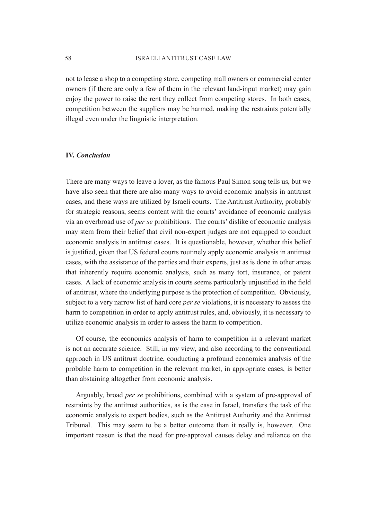not to lease a shop to a competing store, competing mall owners or commercial center owners (if there are only a few of them in the relevant land-input market) may gain enjoy the power to raise the rent they collect from competing stores. In both cases, competition between the suppliers may be harmed, making the restraints potentially illegal even under the linguistic interpretation.

### **IV.** *Conclusion*

There are many ways to leave a lover, as the famous Paul Simon song tells us, but we have also seen that there are also many ways to avoid economic analysis in antitrust cases, and these ways are utilized by Israeli courts. The Antitrust Authority, probably for strategic reasons, seems content with the courts' avoidance of economic analysis via an overbroad use of *per se* prohibitions. The courts' dislike of economic analysis may stem from their belief that civil non-expert judges are not equipped to conduct economic analysis in antitrust cases. It is questionable, however, whether this belief is justified, given that US federal courts routinely apply economic analysis in antitrust cases, with the assistance of the parties and their experts, just as is done in other areas that inherently require economic analysis, such as many tort, insurance, or patent cases. A lack of economic analysis in courts seems particularly unjustified in the field of antitrust, where the underlying purpose is the protection of competition. Obviously, subject to a very narrow list of hard core *per se* violations, it is necessary to assess the harm to competition in order to apply antitrust rules, and, obviously, it is necessary to utilize economic analysis in order to assess the harm to competition.

Of course, the economics analysis of harm to competition in a relevant market is not an accurate science. Still, in my view, and also according to the conventional approach in US antitrust doctrine, conducting a profound economics analysis of the probable harm to competition in the relevant market, in appropriate cases, is better than abstaining altogether from economic analysis.

Arguably, broad *per se* prohibitions, combined with a system of pre-approval of restraints by the antitrust authorities, as is the case in Israel, transfers the task of the economic analysis to expert bodies, such as the Antitrust Authority and the Antitrust Tribunal. This may seem to be a better outcome than it really is, however. One important reason is that the need for pre-approval causes delay and reliance on the